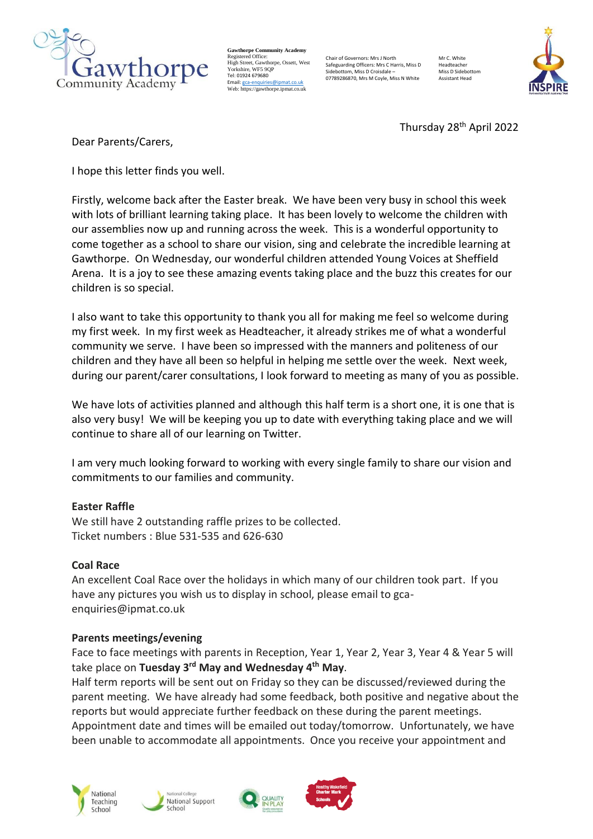

**Gawthorpe Community Academy** Registered Office: High Street, Gawthorpe, Ossett, West Yorkshire, WF5 9OF Tel: 01924 679680 Email[: gca-enquiries@ipmat.co.uk](mailto:gca-enquiries@ipmat.co.uk) Web: https://gawthorpe.ipmat.co.uk

Chair of Governors: Mrs J North Safeguarding Officers: Mrs C Harris, Miss D Sidebottom, Miss D Croisdale – 07789286870, Mrs M Coyle, Miss N White

Mr C. White Headteacher Miss D Sidebotto Assistant Head



Thursday 28<sup>th</sup> April 2022

Dear Parents/Carers,

I hope this letter finds you well.

Firstly, welcome back after the Easter break. We have been very busy in school this week with lots of brilliant learning taking place. It has been lovely to welcome the children with our assemblies now up and running across the week. This is a wonderful opportunity to come together as a school to share our vision, sing and celebrate the incredible learning at Gawthorpe. On Wednesday, our wonderful children attended Young Voices at Sheffield Arena. It is a joy to see these amazing events taking place and the buzz this creates for our children is so special.

I also want to take this opportunity to thank you all for making me feel so welcome during my first week. In my first week as Headteacher, it already strikes me of what a wonderful community we serve. I have been so impressed with the manners and politeness of our children and they have all been so helpful in helping me settle over the week. Next week, during our parent/carer consultations, I look forward to meeting as many of you as possible.

We have lots of activities planned and although this half term is a short one, it is one that is also very busy! We will be keeping you up to date with everything taking place and we will continue to share all of our learning on Twitter.

I am very much looking forward to working with every single family to share our vision and commitments to our families and community.

#### **Easter Raffle**

We still have 2 outstanding raffle prizes to be collected. Ticket numbers : Blue 531-535 and 626-630

#### **Coal Race**

An excellent Coal Race over the holidays in which many of our children took part. If you have any pictures you wish us to display in school, please email to gcaenquiries@ipmat.co.uk

#### **Parents meetings/evening**

Face to face meetings with parents in Reception, Year 1, Year 2, Year 3, Year 4 & Year 5 will take place on **Tuesday 3rd May and Wednesday 4th May**.

Half term reports will be sent out on Friday so they can be discussed/reviewed during the parent meeting. We have already had some feedback, both positive and negative about the reports but would appreciate further feedback on these during the parent meetings. Appointment date and times will be emailed out today/tomorrow. Unfortunately, we have been unable to accommodate all appointments. Once you receive your appointment and







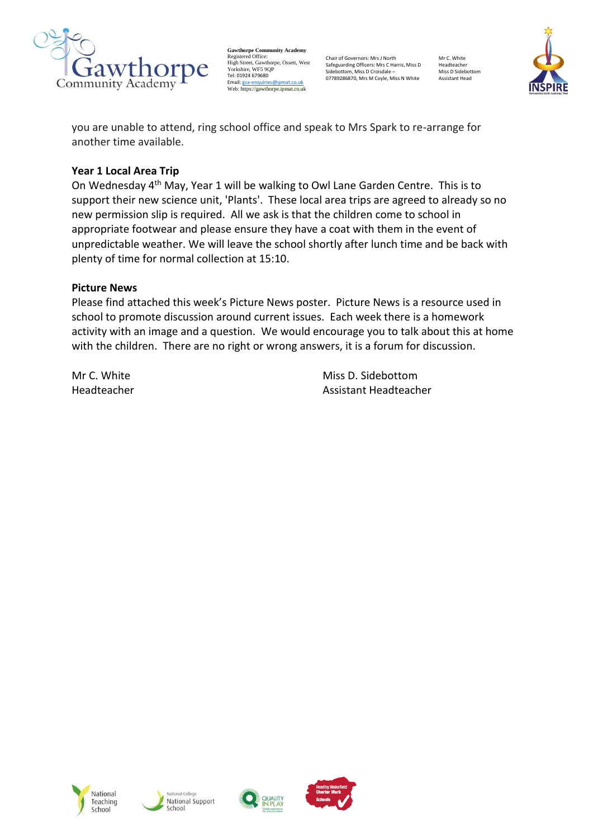

**Gawthorpe Community Academy** Registered Office: High Street, Gawthorpe, Ossett, West Yorkshire, WF5 9QP Tel: 01924 679680 Email[: gca-enquiries@ipmat.co.uk](mailto:gca-enquiries@ipmat.co.uk) Web: https://gawthorpe.ipmat.co.uk

Chair of Governors: Mrs J North Safeguarding Officers: Mrs C Harris, Miss D Sidebottom, Miss D Croisdale – 07789286870, Mrs M Coyle, Miss N White

Mr C. White Headteacher Miss D Sidebottom Assistant Head



you are unable to attend, ring school office and speak to Mrs Spark to re-arrange for another time available.

### **Year 1 Local Area Trip**

On Wednesday 4th May, Year 1 will be walking to Owl Lane Garden Centre. This is to support their new science unit, 'Plants'. These local area trips are agreed to already so no new permission slip is required. All we ask is that the children come to school in appropriate footwear and please ensure they have a coat with them in the event of unpredictable weather. We will leave the school shortly after lunch time and be back with plenty of time for normal collection at 15:10.

#### **Picture News**

Please find attached this week's Picture News poster.  Picture News is a resource used in school to promote discussion around current issues.  Each week there is a homework activity with an image and a question.  We would encourage you to talk about this at home with the children.  There are no right or wrong answers, it is a forum for discussion.   

Mr C. White Miss D. Sidebottom Headteacher Assistant Headteacher







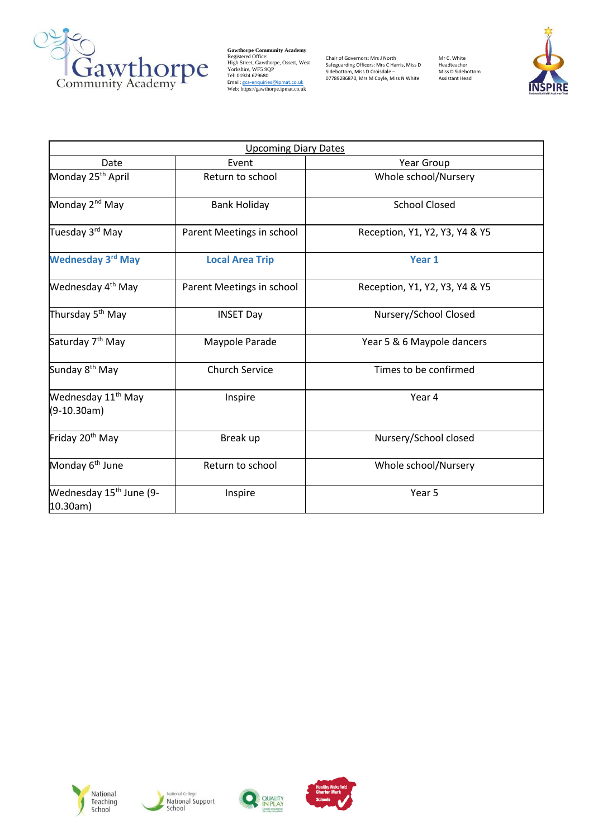

Gawthorpe Community Academy<br>
Righ Street, Gawthorpe, Ossett, West<br>
Yorkshire, WF5 9QP<br>
Tel: 01924 679680<br>
Heil: <u>gca-enquiries@ipmat.co.uk</u><br>
Web: https://gawthorpe.ipmat.co.uk

Chair of Governors: Mrs J North<br>Safeguarding Officers: Mrs C Harris, Miss D<br>Sidebottom, Miss D Croisdale –<br>07789286870, Mrs M Coyle, Miss N White

Mr C. White Headteacher Miss D Sidebottom Assistant Head



|                                                 | <b>Upcoming Diary Dates</b> |                                |
|-------------------------------------------------|-----------------------------|--------------------------------|
| Date                                            | Event                       | Year Group                     |
| Monday 25 <sup>th</sup> April                   | Return to school            | Whole school/Nursery           |
| Monday 2 <sup>nd</sup> May                      | <b>Bank Holiday</b>         | <b>School Closed</b>           |
| Tuesday 3 <sup>rd</sup> May                     | Parent Meetings in school   | Reception, Y1, Y2, Y3, Y4 & Y5 |
| <b>Wednesday 3rd May</b>                        | <b>Local Area Trip</b>      | Year 1                         |
| Wednesday 4 <sup>th</sup> May                   | Parent Meetings in school   | Reception, Y1, Y2, Y3, Y4 & Y5 |
| Thursday 5 <sup>th</sup> May                    | <b>INSET Day</b>            | Nursery/School Closed          |
| Saturday 7 <sup>th</sup> May                    | Maypole Parade              | Year 5 & 6 Maypole dancers     |
| Sunday 8 <sup>th</sup> May                      | <b>Church Service</b>       | Times to be confirmed          |
| Wednesday 11 <sup>th</sup> May<br>$(9-10.30am)$ | Inspire                     | Year 4                         |
| Friday 20 <sup>th</sup> May                     | Break up                    | Nursery/School closed          |
| Monday 6 <sup>th</sup> June                     | Return to school            | Whole school/Nursery           |
| Wednesday 15 <sup>th</sup> June (9-<br>10.30am) | Inspire                     | Year 5                         |